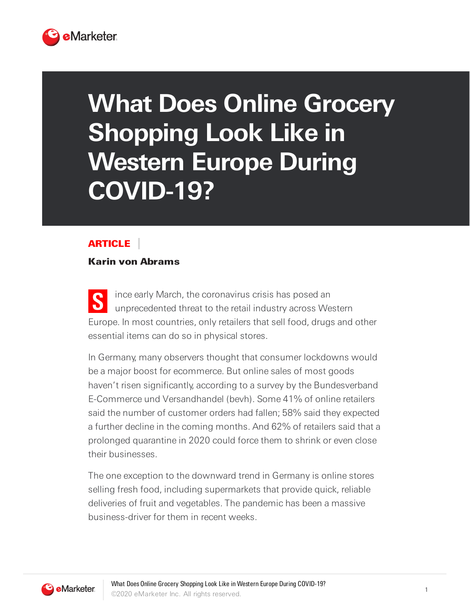

# **What Does Online Grocery Shopping Look Like in Western Europe During COVID-19?**

## ARTICLE

## Karin von Abrams

**S** ince early March, the coronavirus crisis has posed an unprecedented threat to the retail industry across Western Europe. In most countries, only retailers that sell food, drugs and other essential items can do so in physical stores.

In Germany, many observers thought that consumer lockdowns would be a major boost for ecommerce. But online sales of most goods haven't risen significantly, according to a survey by the Bundesverband E-Commerce und Versandhandel (bevh). Some 41% of online retailers said the number of customer orders had fallen; 58% said they expected a further decline in the coming months. And 62% of retailers said that a prolonged quarantine in 2020 could force them to shrink or even close their businesses.

The one exception to the downward trend in Germany is online stores selling fresh food, including supermarkets that provide quick, reliable deliveries of fruit and vegetables. The pandemic has been a massive business-driver for them in recent weeks.

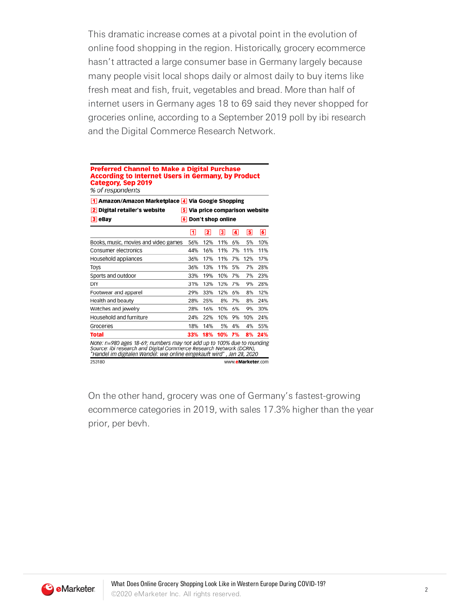This dramatic increase comes at a pivotal point in the evolution of online food shopping in the region. Historically, grocery ecommerce hasn't attracted a large consumer base in Germany largely because many people visit local shops daily or almost daily to buy items like fresh meat and fish, fruit, vegetables and bread. More than half of internet users in Germany ages 18 to 69 said they never shopped for groceries online, according to a September 2019 poll by ibi research and the Digital Commerce Research Network.

### **Preferred Channel to Make a Digital Purchase According to Internet Users in Germany, by Product Category, Sep 2019** % of respondents

|     |     |     |    | 1 Amazon/Amazon Marketplace 4 Via Google Shopping<br>2 Digital retailer's website<br><b>5</b> Via price comparison website<br>6 Don't shop online<br>$ 3 $ eBay |                                                                                                                                                                                                                                              |  |  |  |  |  |  |
|-----|-----|-----|----|-----------------------------------------------------------------------------------------------------------------------------------------------------------------|----------------------------------------------------------------------------------------------------------------------------------------------------------------------------------------------------------------------------------------------|--|--|--|--|--|--|
|     | 2   | 3   | 4  | 5                                                                                                                                                               | 6                                                                                                                                                                                                                                            |  |  |  |  |  |  |
| 56% | 12% | 11% | 6% | 5%                                                                                                                                                              | 10%                                                                                                                                                                                                                                          |  |  |  |  |  |  |
| 44% | 16% | 11% | 7% | 11%                                                                                                                                                             | 11%                                                                                                                                                                                                                                          |  |  |  |  |  |  |
| 36% | 17% | 11% | 7% | 12%                                                                                                                                                             | 17%                                                                                                                                                                                                                                          |  |  |  |  |  |  |
| 36% | 13% | 11% | 5% | 7%                                                                                                                                                              | 28%                                                                                                                                                                                                                                          |  |  |  |  |  |  |
| 33% | 19% | 10% | 7% | 7%                                                                                                                                                              | 23%                                                                                                                                                                                                                                          |  |  |  |  |  |  |
| 31% | 13% | 13% | 7% | 9%                                                                                                                                                              | 28%                                                                                                                                                                                                                                          |  |  |  |  |  |  |
| 29% | 33% | 12% | 6% | 8%                                                                                                                                                              | 12%                                                                                                                                                                                                                                          |  |  |  |  |  |  |
| 28% | 25% | 8%  | 7% | 8%                                                                                                                                                              | 24%                                                                                                                                                                                                                                          |  |  |  |  |  |  |
| 28% | 16% | 10% | 6% | 9%                                                                                                                                                              | 30%                                                                                                                                                                                                                                          |  |  |  |  |  |  |
| 24% | 22% | 10% | 9% | 10%                                                                                                                                                             | 24%                                                                                                                                                                                                                                          |  |  |  |  |  |  |
| 18% | 14% | 5%  | 4% | 4%                                                                                                                                                              | 55%                                                                                                                                                                                                                                          |  |  |  |  |  |  |
| 33% | 18% | 10% | 7% | 8%                                                                                                                                                              | 24%                                                                                                                                                                                                                                          |  |  |  |  |  |  |
|     |     |     |    |                                                                                                                                                                 |                                                                                                                                                                                                                                              |  |  |  |  |  |  |
|     | ⊡   |     |    |                                                                                                                                                                 | Note: n=980 ages 18-69; numbers may not add up to 100% due to rounding<br>Source: ibi research and Digital Commerce Research Network (DCRN),<br>"Handel im digitalen Wandel: wie online eingekauft wird" , Jan 28, 2020<br>www.eMarketer.com |  |  |  |  |  |  |

On the other hand, grocery was one of Germany's fastest-growing ecommerce categories in 2019, with sales 17.3% higher than the year prior, per bevh.

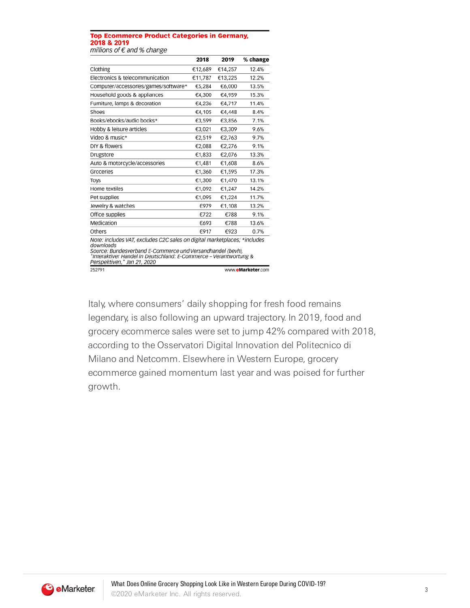#### **Top Ecommerce Product Categories in Germany,** 2018 & 2019 millions of  $\epsilon$  and % change

|                                                                                                                                                                                                                                                                    | 2018    | 2019    | % change          |
|--------------------------------------------------------------------------------------------------------------------------------------------------------------------------------------------------------------------------------------------------------------------|---------|---------|-------------------|
| Clothing                                                                                                                                                                                                                                                           | €12,689 | €14,257 | 12.4%             |
| Electronics & telecommunication                                                                                                                                                                                                                                    | €11,787 | €13,225 | 12.2%             |
| Computer/accessories/games/software*                                                                                                                                                                                                                               | €5,284  | €6,000  | 13.5%             |
| Household goods & appliances                                                                                                                                                                                                                                       | €4,300  | €4,959  | 15.3%             |
| Furniture, lamps & decoration                                                                                                                                                                                                                                      | €4,236  | €4,717  | 11.4%             |
| Shoes                                                                                                                                                                                                                                                              | €4,105  | €4,448  | 8.4%              |
| Books/ebooks/audio books*                                                                                                                                                                                                                                          | €3,599  | €3,856  | 7.1%              |
| Hobby & leisure articles                                                                                                                                                                                                                                           | €3.021  | €3.309  | 9.6%              |
| Video & music*                                                                                                                                                                                                                                                     | €2,519  | €2,763  | 9.7%              |
| DIY & flowers                                                                                                                                                                                                                                                      | €2.088  | €2.276  | 9.1%              |
| Drugstore                                                                                                                                                                                                                                                          | €1,833  | €2,076  | 13.3%             |
| Auto & motorcycle/accessories                                                                                                                                                                                                                                      | €1,481  | €1,608  | 8.6%              |
| Groceries                                                                                                                                                                                                                                                          | €1,360  | €1,595  | 17.3%             |
| Toys                                                                                                                                                                                                                                                               | €1,300  | €1,470  | 13.1%             |
| Home textiles                                                                                                                                                                                                                                                      | €1,092  | €1,247  | 14.2%             |
| Pet supplies                                                                                                                                                                                                                                                       | €1.095  | €1,224  | 11.7%             |
| Jewelry & watches                                                                                                                                                                                                                                                  | €979    | €1,108  | 13.2%             |
| Office supplies                                                                                                                                                                                                                                                    | €722    | €788    | 9.1%              |
| Medication                                                                                                                                                                                                                                                         | €693    | €788    | 13.6%             |
| Others                                                                                                                                                                                                                                                             | €917    | €923    | 0.7%              |
| Note: includes VAT, excludes C2C sales on digital marketplaces; *includes<br>downloads<br>Source: Bundesverband E-Commerce und Versandhandel (bevh),<br>"Interaktiver Handel in Deutschland: E-Commerce – Verantwortung &<br>Perspektiven," Jan 21, 2020<br>252791 |         |         | www.eMarketer.com |

Italy, where consumers' daily shopping for fresh food remains legendary, is also following an upward trajectory. In 2019, food and grocery ecommerce sales were set to jump 42% compared with 2018, according to the Osservatori Digital Innovation del Politecnico di Milano and Netcomm. Elsewhere in Western Europe, grocery ecommerce gained momentum last year and was poised for further growth.

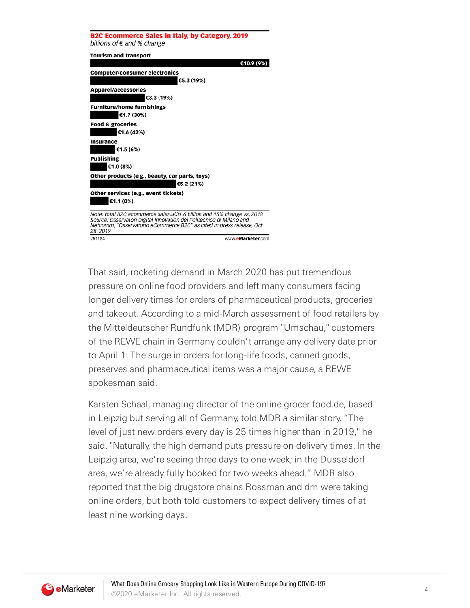

That said, rocketing demand in March 2020 has put tremendous pressure on online food providers and left many consumers facing longer delivery times for orders of pharmaceutical products, groceries and takeout. According to a mid-March assessment of food retailers by the Mitteldeutscher Rundfunk (MDR) program "Umschau," customers of the REWE chain in Germany couldn't arrange any delivery date prior to April 1. The surge in orders for long-life foods, canned goods, preserves and pharmaceutical items was a major cause, a REWE spokesman said.

Karsten Schaal, managing director of the online grocer food.de, based in Leipzig but serving all of Germany, told MDR a similar story. "The level of just new orders every day is 25 times higher than in 2019," he said. "Naturally, the high demand puts pressure on delivery times. In the Leipzig area, we're seeing three days to one week; in the Dusseldorf area, we're already fully booked for two weeks ahead." MDR also reported that the big drugstore chains Rossman and dm were taking online orders, but both told customers to expect delivery times of at least nine working days.